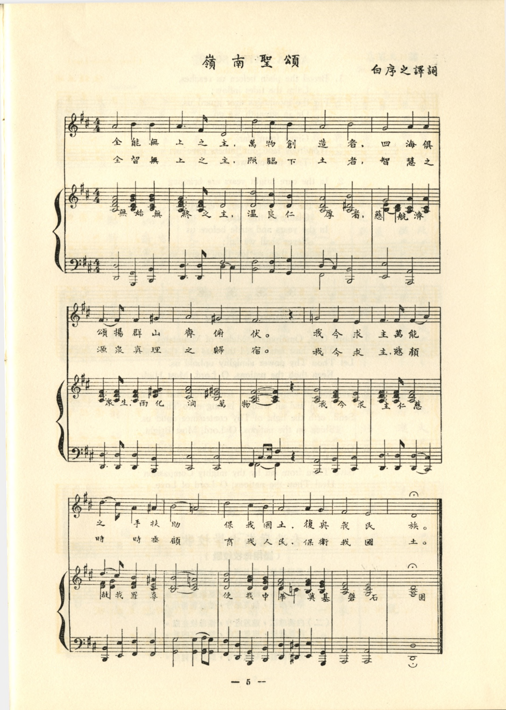嶺 南 聖 頌

白序之譯詞